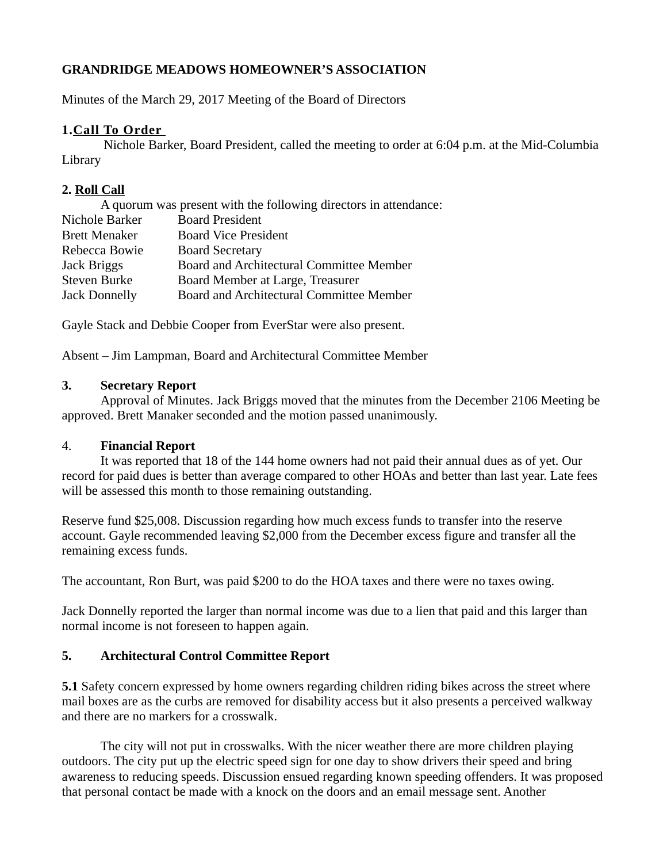# **GRANDRIDGE MEADOWS HOMEOWNER'S ASSOCIATION**

Minutes of the March 29, 2017 Meeting of the Board of Directors

# **1. Call To Order**

Nichole Barker, Board President, called the meeting to order at 6:04 p.m. at the Mid-Columbia Library

# **2. Roll Call**

| A quorum was present with the following directors in attendance: |                                          |
|------------------------------------------------------------------|------------------------------------------|
| Nichole Barker                                                   | <b>Board President</b>                   |
| <b>Brett Menaker</b>                                             | <b>Board Vice President</b>              |
| Rebecca Bowie                                                    | <b>Board Secretary</b>                   |
| Jack Briggs                                                      | Board and Architectural Committee Member |
| <b>Steven Burke</b>                                              | Board Member at Large, Treasurer         |
| <b>Jack Donnelly</b>                                             | Board and Architectural Committee Member |

Gayle Stack and Debbie Cooper from EverStar were also present.

Absent – Jim Lampman, Board and Architectural Committee Member

#### **3. Secretary Report**

Approval of Minutes. Jack Briggs moved that the minutes from the December 2106 Meeting be approved. Brett Manaker seconded and the motion passed unanimously.

## 4. **Financial Report**

It was reported that 18 of the 144 home owners had not paid their annual dues as of yet. Our record for paid dues is better than average compared to other HOAs and better than last year. Late fees will be assessed this month to those remaining outstanding.

Reserve fund \$25,008. Discussion regarding how much excess funds to transfer into the reserve account. Gayle recommended leaving \$2,000 from the December excess figure and transfer all the remaining excess funds.

The accountant, Ron Burt, was paid \$200 to do the HOA taxes and there were no taxes owing.

Jack Donnelly reported the larger than normal income was due to a lien that paid and this larger than normal income is not foreseen to happen again.

## **5. Architectural Control Committee Report**

**5.1** Safety concern expressed by home owners regarding children riding bikes across the street where mail boxes are as the curbs are removed for disability access but it also presents a perceived walkway and there are no markers for a crosswalk.

The city will not put in crosswalks. With the nicer weather there are more children playing outdoors. The city put up the electric speed sign for one day to show drivers their speed and bring awareness to reducing speeds. Discussion ensued regarding known speeding offenders. It was proposed that personal contact be made with a knock on the doors and an email message sent. Another